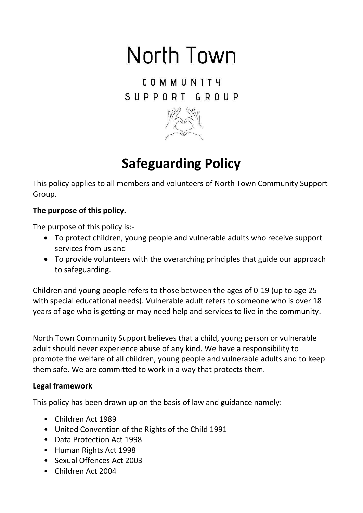# North Town

COMMUNITY SUPPORT GROUP



# **Safeguarding Policy**

This policy applies to all members and volunteers of North Town Community Support Group.

## **The purpose of this policy.**

The purpose of this policy is:-

- To protect children, young people and vulnerable adults who receive support services from us and
- To provide volunteers with the overarching principles that guide our approach to safeguarding.

Children and young people refers to those between the ages of 0-19 (up to age 25 with special educational needs). Vulnerable adult refers to someone who is over 18 years of age who is getting or may need help and services to live in the community.

North Town Community Support believes that a child, young person or vulnerable adult should never experience abuse of any kind. We have a responsibility to promote the welfare of all children, young people and vulnerable adults and to keep them safe. We are committed to work in a way that protects them.

#### **Legal framework**

This policy has been drawn up on the basis of law and guidance namely:

- Children Act 1989
- United Convention of the Rights of the Child 1991
- Data Protection Act 1998
- Human Rights Act 1998
- Sexual Offences Act 2003
- Children Act 2004